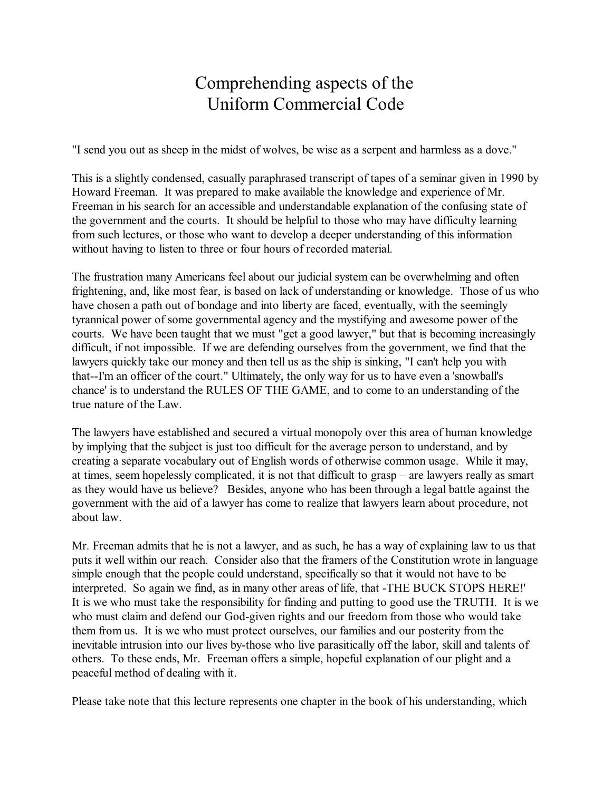# Comprehending aspects of the Uniform Commercial Code

"I send you out as sheep in the midst of wolves, be wise as a serpent and harmless as a dove."

This is a slightly condensed, casually paraphrased transcript of tapes of a seminar given in 1990 by Howard Freeman. It was prepared to make available the knowledge and experience of Mr. Freeman in his search for an accessible and understandable explanation of the confusing state of the government and the courts. It should be helpful to those who may have difficulty learning from such lectures, or those who want to develop a deeper understanding of this information without having to listen to three or four hours of recorded material.

The frustration many Americans feel about our judicial system can be overwhelming and often frightening, and, like most fear, is based on lack of understanding or knowledge. Those of us who have chosen a path out of bondage and into liberty are faced, eventually, with the seemingly tyrannical power of some governmental agency and the mystifying and awesome power of the courts. We have been taught that we must "get a good lawyer," but that is becoming increasingly difficult, if not impossible. If we are defending ourselves from the government, we find that the lawyers quickly take our money and then tell us as the ship is sinking, "I can't help you with that--I'm an officer of the court." Ultimately, the only way for us to have even a 'snowball's chance' is to understand the RULES OF THE GAME, and to come to an understanding of the true nature of the Law.

The lawyers have established and secured a virtual monopoly over this area of human knowledge by implying that the subject is just too difficult for the average person to understand, and by creating a separate vocabulary out of English words of otherwise common usage. While it may, at times, seem hopelessly complicated, it is not that difficult to grasp – are lawyers really as smart as they would have us believe? Besides, anyone who has been through a legal battle against the government with the aid of a lawyer has come to realize that lawyers learn about procedure, not about law.

Mr. Freeman admits that he is not a lawyer, and as such, he has a way of explaining law to us that puts it well within our reach. Consider also that the framers of the Constitution wrote in language simple enough that the people could understand, specifically so that it would not have to be interpreted. So again we find, as in many other areas of life, that -THE BUCK STOPS HERE!' It is we who must take the responsibility for finding and putting to good use the TRUTH. It is we who must claim and defend our God-given rights and our freedom from those who would take them from us. It is we who must protect ourselves, our families and our posterity from the inevitable intrusion into our lives by-those who live parasitically off the labor, skill and talents of others. To these ends, Mr. Freeman offers a simple, hopeful explanation of our plight and a peaceful method of dealing with it.

Please take note that this lecture represents one chapter in the book of his understanding, which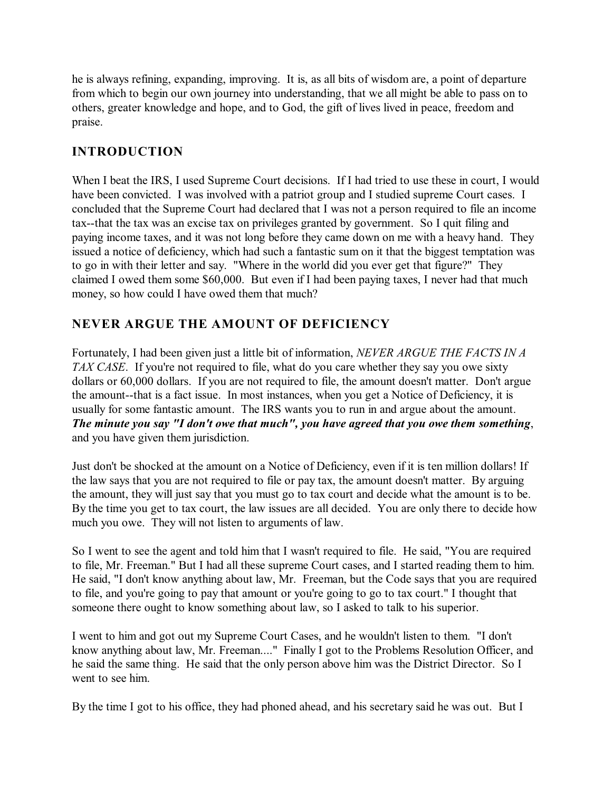he is always refining, expanding, improving. It is, as all bits of wisdom are, a point of departure from which to begin our own journey into understanding, that we all might be able to pass on to others, greater knowledge and hope, and to God, the gift of lives lived in peace, freedom and praise.

## **INTRODUCTION**

When I beat the IRS, I used Supreme Court decisions. If I had tried to use these in court, I would have been convicted. I was involved with a patriot group and I studied supreme Court cases. I concluded that the Supreme Court had declared that I was not a person required to file an income tax--that the tax was an excise tax on privileges granted by government. So I quit filing and paying income taxes, and it was not long before they came down on me with a heavy hand. They issued a notice of deficiency, which had such a fantastic sum on it that the biggest temptation was to go in with their letter and say. "Where in the world did you ever get that figure?" They claimed I owed them some \$60,000. But even if I had been paying taxes, I never had that much money, so how could I have owed them that much?

# **NEVER ARGUE THE AMOUNT OF DEFICIENCY**

Fortunately, I had been given just a little bit of information, *NEVER ARGUE THE FACTS IN A TAX CASE*. If you're not required to file, what do you care whether they say you owe sixty dollars or 60,000 dollars. If you are not required to file, the amount doesn't matter. Don't argue the amount--that is a fact issue. In most instances, when you get a Notice of Deficiency, it is usually for some fantastic amount. The IRS wants you to run in and argue about the amount. *The minute you say "I don't owe that much", you have agreed that you owe them something*, and you have given them jurisdiction.

Just don't be shocked at the amount on a Notice of Deficiency, even if it is ten million dollars! If the law says that you are not required to file or pay tax, the amount doesn't matter. By arguing the amount, they will just say that you must go to tax court and decide what the amount is to be. By the time you get to tax court, the law issues are all decided. You are only there to decide how much you owe. They will not listen to arguments of law.

So I went to see the agent and told him that I wasn't required to file. He said, "You are required to file, Mr. Freeman." But I had all these supreme Court cases, and I started reading them to him. He said, "I don't know anything about law, Mr. Freeman, but the Code says that you are required to file, and you're going to pay that amount or you're going to go to tax court." I thought that someone there ought to know something about law, so I asked to talk to his superior.

I went to him and got out my Supreme Court Cases, and he wouldn't listen to them. "I don't know anything about law, Mr. Freeman...." Finally I got to the Problems Resolution Officer, and he said the same thing. He said that the only person above him was the District Director. So I went to see him.

By the time I got to his office, they had phoned ahead, and his secretary said he was out. But I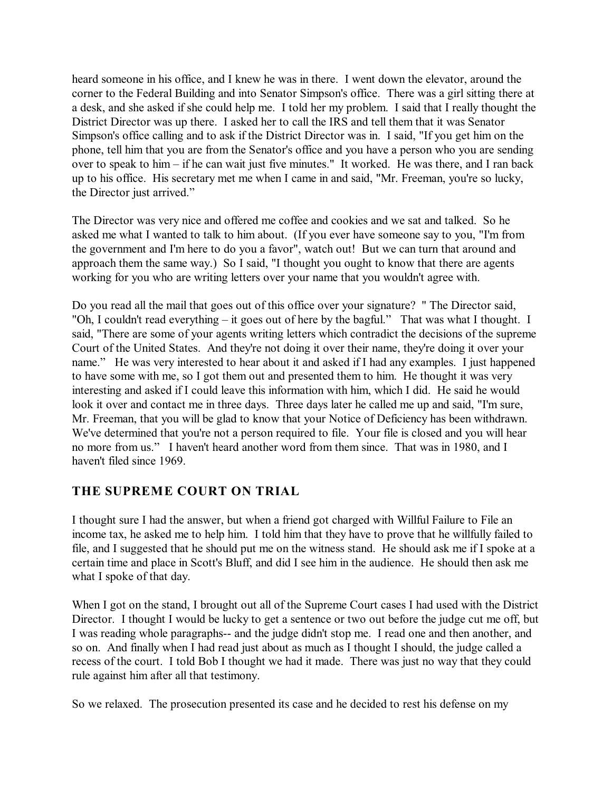heard someone in his office, and I knew he was in there. I went down the elevator, around the corner to the Federal Building and into Senator Simpson's office. There was a girl sitting there at a desk, and she asked if she could help me. I told her my problem. I said that I really thought the District Director was up there. I asked her to call the IRS and tell them that it was Senator Simpson's office calling and to ask if the District Director was in. I said, "If you get him on the phone, tell him that you are from the Senator's office and you have a person who you are sending over to speak to him – if he can wait just five minutes." It worked. He was there, and I ran back up to his office. His secretary met me when I came in and said, "Mr. Freeman, you're so lucky, the Director just arrived."

The Director was very nice and offered me coffee and cookies and we sat and talked. So he asked me what I wanted to talk to him about. (If you ever have someone say to you, "I'm from the government and I'm here to do you a favor", watch out! But we can turn that around and approach them the same way.) So I said, "I thought you ought to know that there are agents working for you who are writing letters over your name that you wouldn't agree with.

Do you read all the mail that goes out of this office over your signature? " The Director said, "Oh, I couldn't read everything – it goes out of here by the bagful." That was what I thought. I said, "There are some of your agents writing letters which contradict the decisions of the supreme Court of the United States. And they're not doing it over their name, they're doing it over your name." He was very interested to hear about it and asked if I had any examples. I just happened to have some with me, so I got them out and presented them to him. He thought it was very interesting and asked if I could leave this information with him, which I did. He said he would look it over and contact me in three days. Three days later he called me up and said, "I'm sure, Mr. Freeman, that you will be glad to know that your Notice of Deficiency has been withdrawn. We've determined that you're not a person required to file. Your file is closed and you will hear no more from us." I haven't heard another word from them since. That was in 1980, and I haven't filed since 1969.

#### **THE SUPREME COURT ON TRIAL**

I thought sure I had the answer, but when a friend got charged with Willful Failure to File an income tax, he asked me to help him. I told him that they have to prove that he willfully failed to file, and I suggested that he should put me on the witness stand. He should ask me if I spoke at a certain time and place in Scott's Bluff, and did I see him in the audience. He should then ask me what I spoke of that day.

When I got on the stand, I brought out all of the Supreme Court cases I had used with the District Director. I thought I would be lucky to get a sentence or two out before the judge cut me off, but I was reading whole paragraphs-- and the judge didn't stop me. I read one and then another, and so on. And finally when I had read just about as much as I thought I should, the judge called a recess of the court. I told Bob I thought we had it made. There was just no way that they could rule against him after all that testimony.

So we relaxed. The prosecution presented its case and he decided to rest his defense on my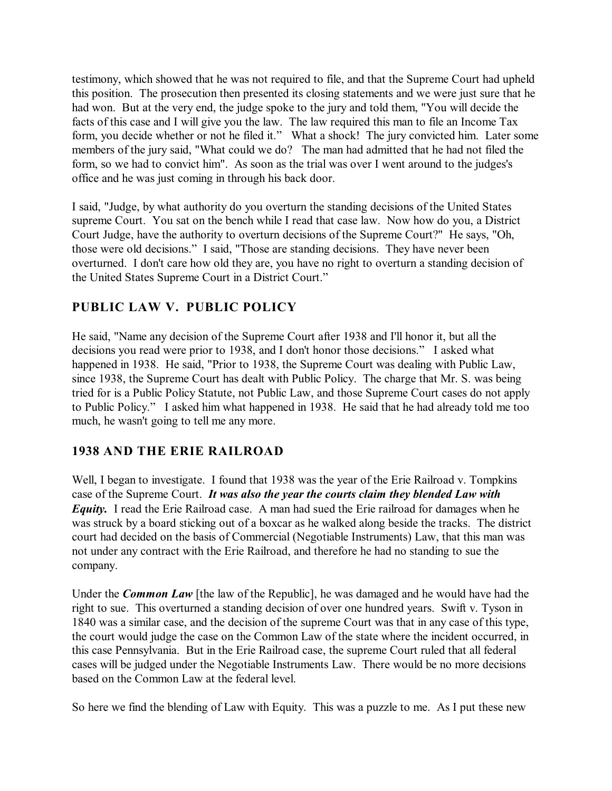testimony, which showed that he was not required to file, and that the Supreme Court had upheld this position. The prosecution then presented its closing statements and we were just sure that he had won. But at the very end, the judge spoke to the jury and told them, "You will decide the facts of this case and I will give you the law. The law required this man to file an Income Tax form, you decide whether or not he filed it." What a shock! The jury convicted him. Later some members of the jury said, "What could we do? The man had admitted that he had not filed the form, so we had to convict him". As soon as the trial was over I went around to the judges's office and he was just coming in through his back door.

I said, "Judge, by what authority do you overturn the standing decisions of the United States supreme Court. You sat on the bench while I read that case law. Now how do you, a District Court Judge, have the authority to overturn decisions of the Supreme Court?" He says, "Oh, those were old decisions." I said, "Those are standing decisions. They have never been overturned. I don't care how old they are, you have no right to overturn a standing decision of the United States Supreme Court in a District Court."

# **PUBLIC LAW V. PUBLIC POLICY**

He said, "Name any decision of the Supreme Court after 1938 and I'll honor it, but all the decisions you read were prior to 1938, and I don't honor those decisions." I asked what happened in 1938. He said, "Prior to 1938, the Supreme Court was dealing with Public Law, since 1938, the Supreme Court has dealt with Public Policy. The charge that Mr. S. was being tried for is a Public Policy Statute, not Public Law, and those Supreme Court cases do not apply to Public Policy." I asked him what happened in 1938. He said that he had already told me too much, he wasn't going to tell me any more.

#### **1938 AND THE ERIE RAILROAD**

Well, I began to investigate. I found that 1938 was the year of the Erie Railroad v. Tompkins case of the Supreme Court. *It was also the year the courts claim they blended Law with Equity.* I read the Erie Railroad case. A man had sued the Erie railroad for damages when he was struck by a board sticking out of a boxcar as he walked along beside the tracks. The district court had decided on the basis of Commercial (Negotiable Instruments) Law, that this man was not under any contract with the Erie Railroad, and therefore he had no standing to sue the company.

Under the *Common Law* [the law of the Republic], he was damaged and he would have had the right to sue. This overturned a standing decision of over one hundred years. Swift v. Tyson in 1840 was a similar case, and the decision of the supreme Court was that in any case of this type, the court would judge the case on the Common Law of the state where the incident occurred, in this case Pennsylvania. But in the Erie Railroad case, the supreme Court ruled that all federal cases will be judged under the Negotiable Instruments Law. There would be no more decisions based on the Common Law at the federal level.

So here we find the blending of Law with Equity. This was a puzzle to me. As I put these new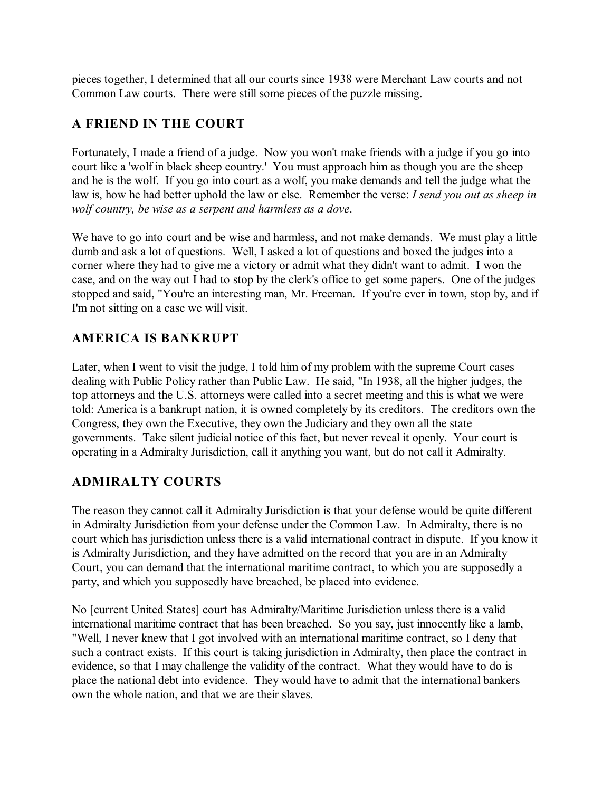pieces together, I determined that all our courts since 1938 were Merchant Law courts and not Common Law courts. There were still some pieces of the puzzle missing.

# **A FRIEND IN THE COURT**

Fortunately, I made a friend of a judge. Now you won't make friends with a judge if you go into court like a 'wolf in black sheep country.' You must approach him as though you are the sheep and he is the wolf. If you go into court as a wolf, you make demands and tell the judge what the law is, how he had better uphold the law or else. Remember the verse: *I send you out as sheep in wolf country, be wise as a serpent and harmless as a dove*.

We have to go into court and be wise and harmless, and not make demands. We must play a little dumb and ask a lot of questions. Well, I asked a lot of questions and boxed the judges into a corner where they had to give me a victory or admit what they didn't want to admit. I won the case, and on the way out I had to stop by the clerk's office to get some papers. One of the judges stopped and said, "You're an interesting man, Mr. Freeman. If you're ever in town, stop by, and if I'm not sitting on a case we will visit.

### **AMERICA IS BANKRUPT**

Later, when I went to visit the judge, I told him of my problem with the supreme Court cases dealing with Public Policy rather than Public Law. He said, "In 1938, all the higher judges, the top attorneys and the U.S. attorneys were called into a secret meeting and this is what we were told: America is a bankrupt nation, it is owned completely by its creditors. The creditors own the Congress, they own the Executive, they own the Judiciary and they own all the state governments. Take silent judicial notice of this fact, but never reveal it openly. Your court is operating in a Admiralty Jurisdiction, call it anything you want, but do not call it Admiralty.

#### **ADMIRALTY COURTS**

The reason they cannot call it Admiralty Jurisdiction is that your defense would be quite different in Admiralty Jurisdiction from your defense under the Common Law. In Admiralty, there is no court which has jurisdiction unless there is a valid international contract in dispute. If you know it is Admiralty Jurisdiction, and they have admitted on the record that you are in an Admiralty Court, you can demand that the international maritime contract, to which you are supposedly a party, and which you supposedly have breached, be placed into evidence.

No [current United States] court has Admiralty/Maritime Jurisdiction unless there is a valid international maritime contract that has been breached. So you say, just innocently like a lamb, "Well, I never knew that I got involved with an international maritime contract, so I deny that such a contract exists. If this court is taking jurisdiction in Admiralty, then place the contract in evidence, so that I may challenge the validity of the contract. What they would have to do is place the national debt into evidence. They would have to admit that the international bankers own the whole nation, and that we are their slaves.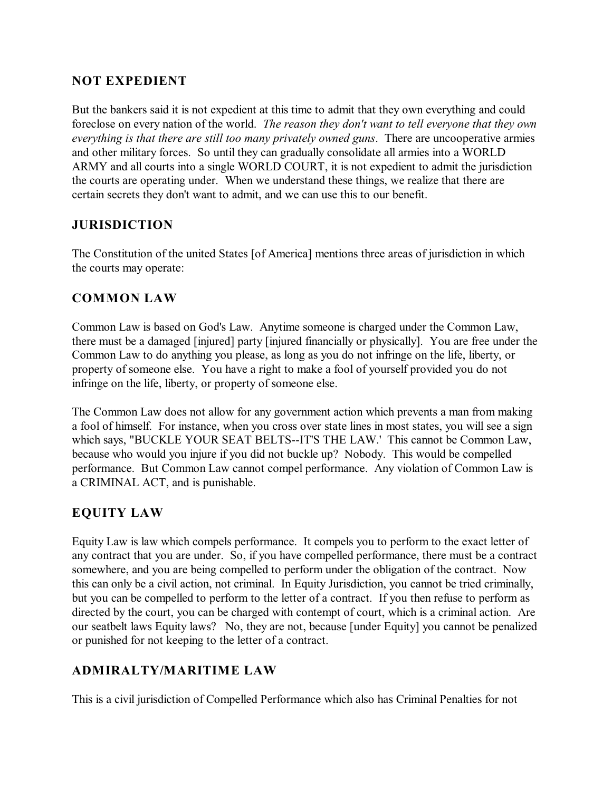#### **NOT EXPEDIENT**

But the bankers said it is not expedient at this time to admit that they own everything and could foreclose on every nation of the world. *The reason they don't want to tell everyone that they own everything is that there are still too many privately owned guns*. There are uncooperative armies and other military forces. So until they can gradually consolidate all armies into a WORLD ARMY and all courts into a single WORLD COURT, it is not expedient to admit the jurisdiction the courts are operating under. When we understand these things, we realize that there are certain secrets they don't want to admit, and we can use this to our benefit.

#### **JURISDICTION**

The Constitution of the united States [of America] mentions three areas of jurisdiction in which the courts may operate:

### **COMMON LAW**

Common Law is based on God's Law. Anytime someone is charged under the Common Law, there must be a damaged [injured] party [injured financially or physically]. You are free under the Common Law to do anything you please, as long as you do not infringe on the life, liberty, or property of someone else. You have a right to make a fool of yourself provided you do not infringe on the life, liberty, or property of someone else.

The Common Law does not allow for any government action which prevents a man from making a fool of himself. For instance, when you cross over state lines in most states, you will see a sign which says, "BUCKLE YOUR SEAT BELTS--IT'S THE LAW.' This cannot be Common Law, because who would you injure if you did not buckle up? Nobody. This would be compelled performance. But Common Law cannot compel performance. Any violation of Common Law is a CRIMINAL ACT, and is punishable.

# **EQUITY LAW**

Equity Law is law which compels performance. It compels you to perform to the exact letter of any contract that you are under. So, if you have compelled performance, there must be a contract somewhere, and you are being compelled to perform under the obligation of the contract. Now this can only be a civil action, not criminal. In Equity Jurisdiction, you cannot be tried criminally, but you can be compelled to perform to the letter of a contract. If you then refuse to perform as directed by the court, you can be charged with contempt of court, which is a criminal action. Are our seatbelt laws Equity laws? No, they are not, because [under Equity] you cannot be penalized or punished for not keeping to the letter of a contract.

# **ADMIRALTY/MARITIME LAW**

This is a civil jurisdiction of Compelled Performance which also has Criminal Penalties for not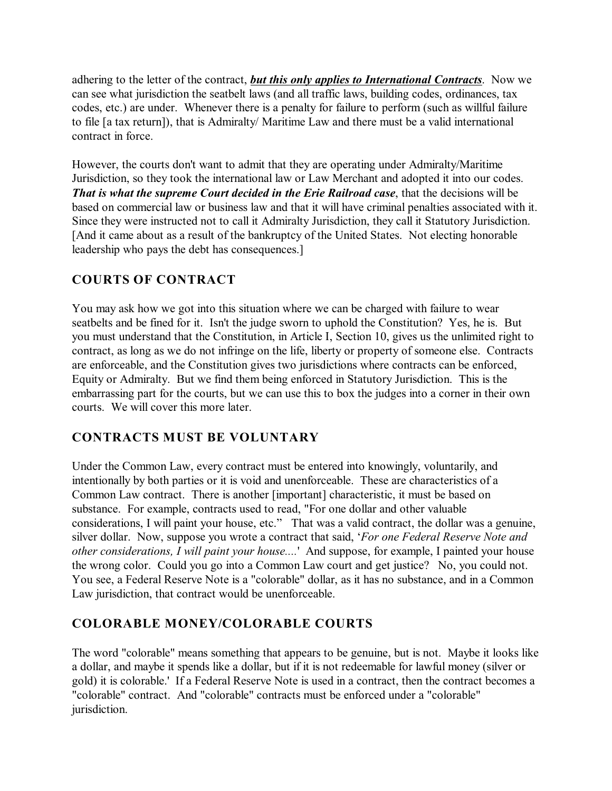adhering to the letter of the contract, *but this only applies to International Contracts*. Now we can see what jurisdiction the seatbelt laws (and all traffic laws, building codes, ordinances, tax codes, etc.) are under. Whenever there is a penalty for failure to perform (such as willful failure to file [a tax return]), that is Admiralty/ Maritime Law and there must be a valid international contract in force.

However, the courts don't want to admit that they are operating under Admiralty/Maritime Jurisdiction, so they took the international law or Law Merchant and adopted it into our codes. *That is what the supreme Court decided in the Erie Railroad case*, that the decisions will be based on commercial law or business law and that it will have criminal penalties associated with it. Since they were instructed not to call it Admiralty Jurisdiction, they call it Statutory Jurisdiction. [And it came about as a result of the bankruptcy of the United States. Not electing honorable leadership who pays the debt has consequences.]

# **COURTS OF CONTRACT**

You may ask how we got into this situation where we can be charged with failure to wear seatbelts and be fined for it. Isn't the judge sworn to uphold the Constitution? Yes, he is. But you must understand that the Constitution, in Article I, Section 10, gives us the unlimited right to contract, as long as we do not infringe on the life, liberty or property of someone else. Contracts are enforceable, and the Constitution gives two jurisdictions where contracts can be enforced, Equity or Admiralty. But we find them being enforced in Statutory Jurisdiction. This is the embarrassing part for the courts, but we can use this to box the judges into a corner in their own courts. We will cover this more later.

# **CONTRACTS MUST BE VOLUNTARY**

Under the Common Law, every contract must be entered into knowingly, voluntarily, and intentionally by both parties or it is void and unenforceable. These are characteristics of a Common Law contract. There is another [important] characteristic, it must be based on substance. For example, contracts used to read, "For one dollar and other valuable considerations, I will paint your house, etc." That was a valid contract, the dollar was a genuine, silver dollar. Now, suppose you wrote a contract that said, '*For one Federal Reserve Note and other considerations, I will paint your house....*' And suppose, for example, I painted your house the wrong color. Could you go into a Common Law court and get justice? No, you could not. You see, a Federal Reserve Note is a "colorable" dollar, as it has no substance, and in a Common Law jurisdiction, that contract would be unenforceable.

# **COLORABLE MONEY/COLORABLE COURTS**

The word "colorable" means something that appears to be genuine, but is not. Maybe it looks like a dollar, and maybe it spends like a dollar, but if it is not redeemable for lawful money (silver or gold) it is colorable.' If a Federal Reserve Note is used in a contract, then the contract becomes a "colorable" contract. And "colorable" contracts must be enforced under a "colorable" jurisdiction.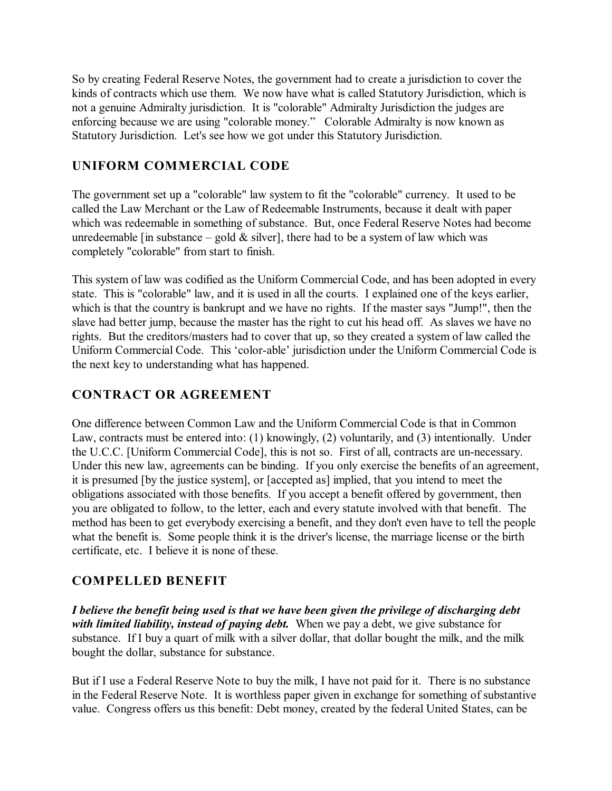So by creating Federal Reserve Notes, the government had to create a jurisdiction to cover the kinds of contracts which use them. We now have what is called Statutory Jurisdiction, which is not a genuine Admiralty jurisdiction. It is "colorable" Admiralty Jurisdiction the judges are enforcing because we are using "colorable money." Colorable Admiralty is now known as Statutory Jurisdiction. Let's see how we got under this Statutory Jurisdiction.

## **UNIFORM COMMERCIAL CODE**

The government set up a "colorable" law system to fit the "colorable" currency. It used to be called the Law Merchant or the Law of Redeemable Instruments, because it dealt with paper which was redeemable in something of substance. But, once Federal Reserve Notes had become unredeemable [in substance – gold  $\&$  silver], there had to be a system of law which was completely "colorable" from start to finish.

This system of law was codified as the Uniform Commercial Code, and has been adopted in every state. This is "colorable" law, and it is used in all the courts. I explained one of the keys earlier, which is that the country is bankrupt and we have no rights. If the master says "Jump!", then the slave had better jump, because the master has the right to cut his head off. As slaves we have no rights. But the creditors/masters had to cover that up, so they created a system of law called the Uniform Commercial Code. This 'color-able' jurisdiction under the Uniform Commercial Code is the next key to understanding what has happened.

# **CONTRACT OR AGREEMENT**

One difference between Common Law and the Uniform Commercial Code is that in Common Law, contracts must be entered into: (1) knowingly, (2) voluntarily, and (3) intentionally. Under the U.C.C. [Uniform Commercial Code], this is not so. First of all, contracts are un-necessary. Under this new law, agreements can be binding. If you only exercise the benefits of an agreement, it is presumed [by the justice system], or [accepted as] implied, that you intend to meet the obligations associated with those benefits. If you accept a benefit offered by government, then you are obligated to follow, to the letter, each and every statute involved with that benefit. The method has been to get everybody exercising a benefit, and they don't even have to tell the people what the benefit is. Some people think it is the driver's license, the marriage license or the birth certificate, etc. I believe it is none of these.

#### **COMPELLED BENEFIT**

*I believe the benefit being used is that we have been given the privilege of discharging debt with limited liability, instead of paying debt.* When we pay a debt, we give substance for substance. If I buy a quart of milk with a silver dollar, that dollar bought the milk, and the milk bought the dollar, substance for substance.

But if I use a Federal Reserve Note to buy the milk, I have not paid for it. There is no substance in the Federal Reserve Note. It is worthless paper given in exchange for something of substantive value. Congress offers us this benefit: Debt money, created by the federal United States, can be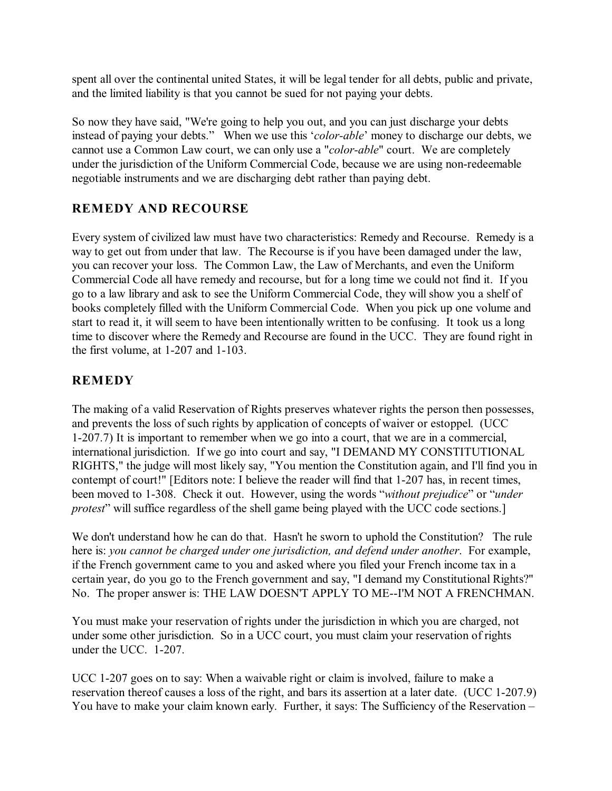spent all over the continental united States, it will be legal tender for all debts, public and private, and the limited liability is that you cannot be sued for not paying your debts.

So now they have said, "We're going to help you out, and you can just discharge your debts instead of paying your debts." When we use this '*color-able*' money to discharge our debts, we cannot use a Common Law court, we can only use a "*color-able*" court. We are completely under the jurisdiction of the Uniform Commercial Code, because we are using non-redeemable negotiable instruments and we are discharging debt rather than paying debt.

# **REMEDY AND RECOURSE**

Every system of civilized law must have two characteristics: Remedy and Recourse. Remedy is a way to get out from under that law. The Recourse is if you have been damaged under the law, you can recover your loss. The Common Law, the Law of Merchants, and even the Uniform Commercial Code all have remedy and recourse, but for a long time we could not find it. If you go to a law library and ask to see the Uniform Commercial Code, they will show you a shelf of books completely filled with the Uniform Commercial Code. When you pick up one volume and start to read it, it will seem to have been intentionally written to be confusing. It took us a long time to discover where the Remedy and Recourse are found in the UCC. They are found right in the first volume, at 1-207 and 1-103.

# **REMEDY**

The making of a valid Reservation of Rights preserves whatever rights the person then possesses, and prevents the loss of such rights by application of concepts of waiver or estoppel. (UCC 1-207.7) It is important to remember when we go into a court, that we are in a commercial, international jurisdiction. If we go into court and say, "I DEMAND MY CONSTITUTIONAL RIGHTS," the judge will most likely say, "You mention the Constitution again, and I'll find you in contempt of court!" [Editors note: I believe the reader will find that 1-207 has, in recent times, been moved to 1-308. Check it out. However, using the words "*without prejudice*" or "*under protest*" will suffice regardless of the shell game being played with the UCC code sections.

We don't understand how he can do that. Hasn't he sworn to uphold the Constitution? The rule here is: *you cannot be charged under one jurisdiction, and defend under another*. For example, if the French government came to you and asked where you filed your French income tax in a certain year, do you go to the French government and say, "I demand my Constitutional Rights?" No. The proper answer is: THE LAW DOESN'T APPLY TO ME--I'M NOT A FRENCHMAN.

You must make your reservation of rights under the jurisdiction in which you are charged, not under some other jurisdiction. So in a UCC court, you must claim your reservation of rights under the UCC. 1-207.

UCC 1-207 goes on to say: When a waivable right or claim is involved, failure to make a reservation thereof causes a loss of the right, and bars its assertion at a later date. (UCC 1-207.9) You have to make your claim known early. Further, it says: The Sufficiency of the Reservation –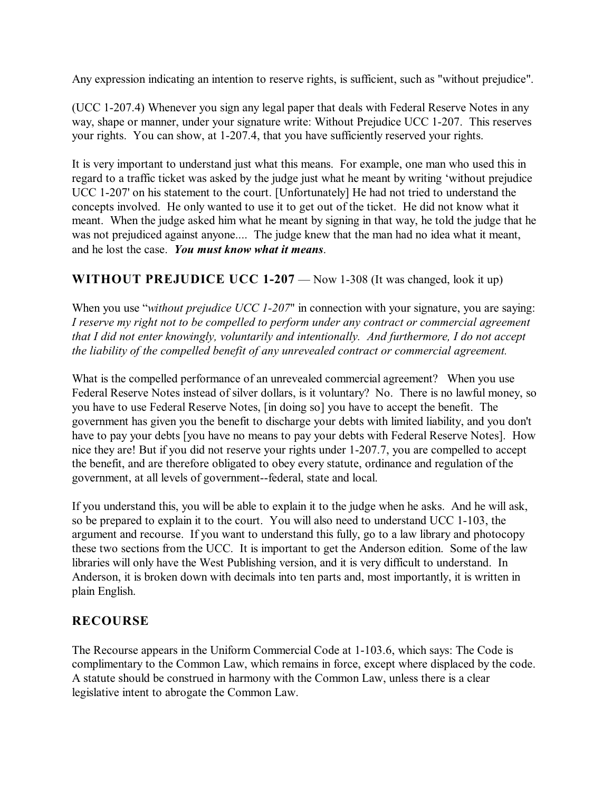Any expression indicating an intention to reserve rights, is sufficient, such as "without prejudice".

(UCC 1-207.4) Whenever you sign any legal paper that deals with Federal Reserve Notes in any way, shape or manner, under your signature write: Without Prejudice UCC 1-207. This reserves your rights. You can show, at 1-207.4, that you have sufficiently reserved your rights.

It is very important to understand just what this means. For example, one man who used this in regard to a traffic ticket was asked by the judge just what he meant by writing 'without prejudice UCC 1-207' on his statement to the court. [Unfortunately] He had not tried to understand the concepts involved. He only wanted to use it to get out of the ticket. He did not know what it meant. When the judge asked him what he meant by signing in that way, he told the judge that he was not prejudiced against anyone.... The judge knew that the man had no idea what it meant, and he lost the case. *You must know what it means*.

#### **WITHOUT PREJUDICE UCC 1-207** — Now 1-308 (It was changed, look it up)

When you use "*without prejudice UCC 1-207*" in connection with your signature, you are saying: *I reserve my right not to be compelled to perform under any contract or commercial agreement that I did not enter knowingly, voluntarily and intentionally. And furthermore, I do not accept the liability of the compelled benefit of any unrevealed contract or commercial agreement.*

What is the compelled performance of an unrevealed commercial agreement? When you use Federal Reserve Notes instead of silver dollars, is it voluntary? No. There is no lawful money, so you have to use Federal Reserve Notes, [in doing so] you have to accept the benefit. The government has given you the benefit to discharge your debts with limited liability, and you don't have to pay your debts [you have no means to pay your debts with Federal Reserve Notes]. How nice they are! But if you did not reserve your rights under 1-207.7, you are compelled to accept the benefit, and are therefore obligated to obey every statute, ordinance and regulation of the government, at all levels of government--federal, state and local.

If you understand this, you will be able to explain it to the judge when he asks. And he will ask, so be prepared to explain it to the court. You will also need to understand UCC 1-103, the argument and recourse. If you want to understand this fully, go to a law library and photocopy these two sections from the UCC. It is important to get the Anderson edition. Some of the law libraries will only have the West Publishing version, and it is very difficult to understand. In Anderson, it is broken down with decimals into ten parts and, most importantly, it is written in plain English.

#### **RECOURSE**

The Recourse appears in the Uniform Commercial Code at 1-103.6, which says: The Code is complimentary to the Common Law, which remains in force, except where displaced by the code. A statute should be construed in harmony with the Common Law, unless there is a clear legislative intent to abrogate the Common Law.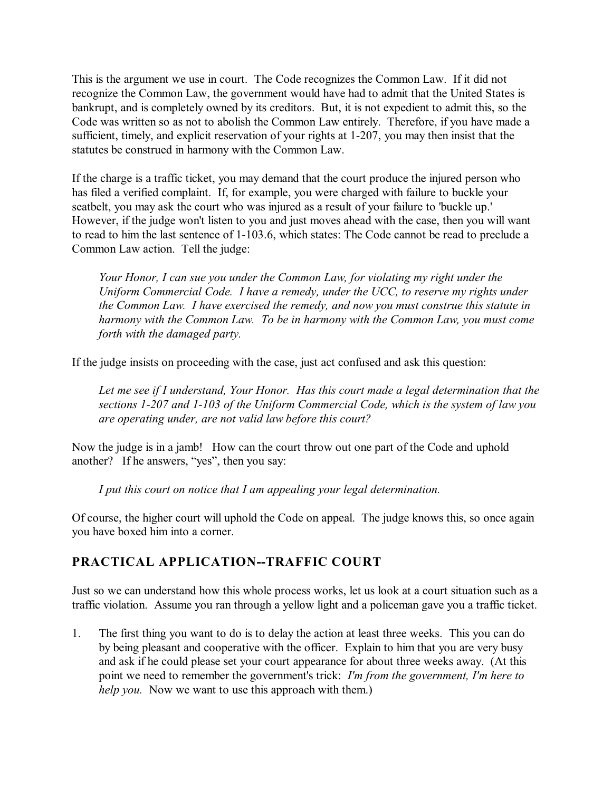This is the argument we use in court. The Code recognizes the Common Law. If it did not recognize the Common Law, the government would have had to admit that the United States is bankrupt, and is completely owned by its creditors. But, it is not expedient to admit this, so the Code was written so as not to abolish the Common Law entirely. Therefore, if you have made a sufficient, timely, and explicit reservation of your rights at 1-207, you may then insist that the statutes be construed in harmony with the Common Law.

If the charge is a traffic ticket, you may demand that the court produce the injured person who has filed a verified complaint. If, for example, you were charged with failure to buckle your seatbelt, you may ask the court who was injured as a result of your failure to 'buckle up.' However, if the judge won't listen to you and just moves ahead with the case, then you will want to read to him the last sentence of 1-103.6, which states: The Code cannot be read to preclude a Common Law action. Tell the judge:

*Your Honor, I can sue you under the Common Law, for violating my right under the Uniform Commercial Code. I have a remedy, under the UCC, to reserve my rights under the Common Law. I have exercised the remedy, and now you must construe this statute in harmony with the Common Law. To be in harmony with the Common Law, you must come forth with the damaged party.* 

If the judge insists on proceeding with the case, just act confused and ask this question:

*Let me see if I understand, Your Honor. Has this court made a legal determination that the sections 1-207 and 1-103 of the Uniform Commercial Code, which is the system of law you are operating under, are not valid law before this court?* 

Now the judge is in a jamb! How can the court throw out one part of the Code and uphold another? If he answers, "yes", then you say:

*I put this court on notice that I am appealing your legal determination.*

Of course, the higher court will uphold the Code on appeal. The judge knows this, so once again you have boxed him into a corner.

# **PRACTICAL APPLICATION--TRAFFIC COURT**

Just so we can understand how this whole process works, let us look at a court situation such as a traffic violation. Assume you ran through a yellow light and a policeman gave you a traffic ticket.

1. The first thing you want to do is to delay the action at least three weeks. This you can do by being pleasant and cooperative with the officer. Explain to him that you are very busy and ask if he could please set your court appearance for about three weeks away. (At this point we need to remember the government's trick: *I'm from the government, I'm here to help you.* Now we want to use this approach with them.)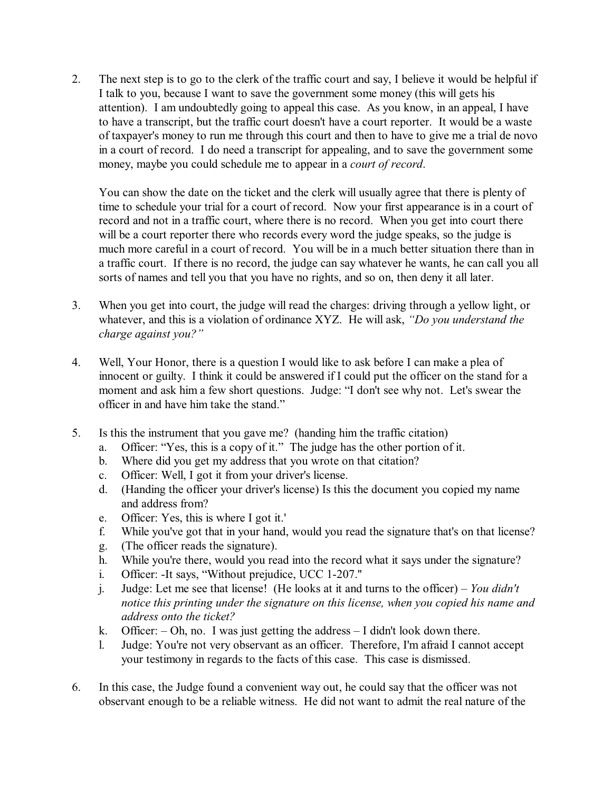2. The next step is to go to the clerk of the traffic court and say, I believe it would be helpful if I talk to you, because I want to save the government some money (this will gets his attention). I am undoubtedly going to appeal this case. As you know, in an appeal, I have to have a transcript, but the traffic court doesn't have a court reporter. It would be a waste of taxpayer's money to run me through this court and then to have to give me a trial de novo in a court of record. I do need a transcript for appealing, and to save the government some money, maybe you could schedule me to appear in a *court of record*.

You can show the date on the ticket and the clerk will usually agree that there is plenty of time to schedule your trial for a court of record. Now your first appearance is in a court of record and not in a traffic court, where there is no record. When you get into court there will be a court reporter there who records every word the judge speaks, so the judge is much more careful in a court of record. You will be in a much better situation there than in a traffic court. If there is no record, the judge can say whatever he wants, he can call you all sorts of names and tell you that you have no rights, and so on, then deny it all later.

- 3. When you get into court, the judge will read the charges: driving through a yellow light, or whatever, and this is a violation of ordinance XYZ. He will ask, *"Do you understand the charge against you?"*
- 4. Well, Your Honor, there is a question I would like to ask before I can make a plea of innocent or guilty. I think it could be answered if I could put the officer on the stand for a moment and ask him a few short questions. Judge: "I don't see why not. Let's swear the officer in and have him take the stand."
- 5. Is this the instrument that you gave me? (handing him the traffic citation)
	- a. Officer: "Yes, this is a copy of it." The judge has the other portion of it.
	- b. Where did you get my address that you wrote on that citation?
	- c. Officer: Well, I got it from your driver's license.
	- d. (Handing the officer your driver's license) Is this the document you copied my name and address from?
	- e. Officer: Yes, this is where I got it.'
	- f. While you've got that in your hand, would you read the signature that's on that license?
	- g. (The officer reads the signature).
	- h. While you're there, would you read into the record what it says under the signature?
	- i. Officer: -It says, "Without prejudice, UCC 1-207.''
	- j. Judge: Let me see that license! (He looks at it and turns to the officer) *You didn't notice this printing under the signature on this license, when you copied his name and address onto the ticket?*
	- k. Officer:  $-$  Oh, no. I was just getting the address  $-$  I didn't look down there.
	- l. Judge: You're not very observant as an officer. Therefore, I'm afraid I cannot accept your testimony in regards to the facts of this case. This case is dismissed.
- 6. In this case, the Judge found a convenient way out, he could say that the officer was not observant enough to be a reliable witness. He did not want to admit the real nature of the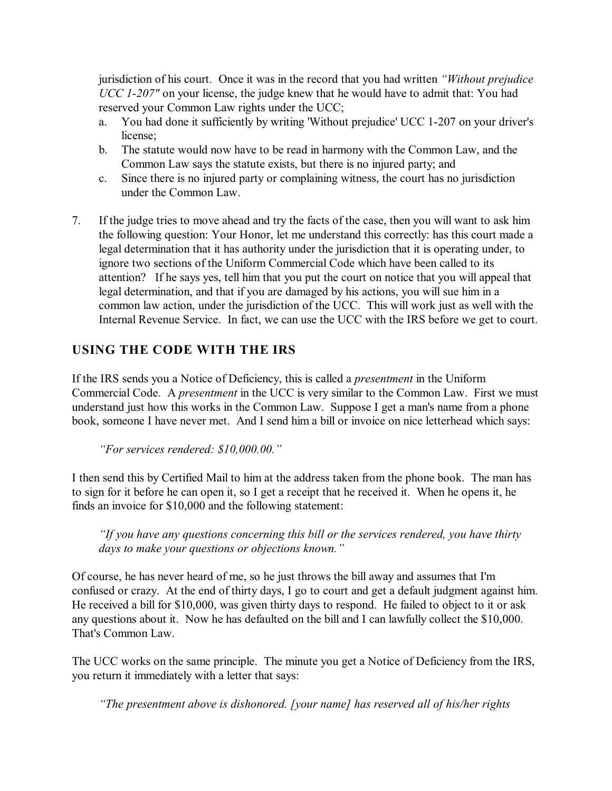jurisdiction of his court. Once it was in the record that you had written *"Without prejudice UCC 1-207"* on your license, the judge knew that he would have to admit that: You had reserved your Common Law rights under the UCC;

- a. You had done it sufficiently by writing 'Without prejudice' UCC 1-207 on your driver's license;
- b. The statute would now have to be read in harmony with the Common Law, and the Common Law says the statute exists, but there is no injured party; and
- c. Since there is no injured party or complaining witness, the court has no jurisdiction under the Common Law.
- 7. If the judge tries to move ahead and try the facts of the case, then you will want to ask him the following question: Your Honor, let me understand this correctly: has this court made a legal determination that it has authority under the jurisdiction that it is operating under, to ignore two sections of the Uniform Commercial Code which have been called to its attention? If he says yes, tell him that you put the court on notice that you will appeal that legal determination, and that if you are damaged by his actions, you will sue him in a common law action, under the jurisdiction of the UCC. This will work just as well with the Internal Revenue Service. In fact, we can use the UCC with the IRS before we get to court.

# **USING THE CODE WITH THE IRS**

If the IRS sends you a Notice of Deficiency, this is called a *presentment* in the Uniform Commercial Code. A *presentment* in the UCC is very similar to the Common Law. First we must understand just how this works in the Common Law. Suppose I get a man's name from a phone book, someone I have never met. And I send him a bill or invoice on nice letterhead which says:

*"For services rendered: \$10,000.00."*

I then send this by Certified Mail to him at the address taken from the phone book. The man has to sign for it before he can open it, so I get a receipt that he received it. When he opens it, he finds an invoice for \$10,000 and the following statement:

*"If you have any questions concerning this bill or the services rendered, you have thirty days to make your questions or objections known."*

Of course, he has never heard of me, so he just throws the bill away and assumes that I'm confused or crazy. At the end of thirty days, I go to court and get a default judgment against him. He received a bill for \$10,000, was given thirty days to respond. He failed to object to it or ask any questions about it. Now he has defaulted on the bill and I can lawfully collect the \$10,000. That's Common Law.

The UCC works on the same principle. The minute you get a Notice of Deficiency from the IRS, you return it immediately with a letter that says:

*"The presentment above is dishonored. [your name] has reserved all of his/her rights*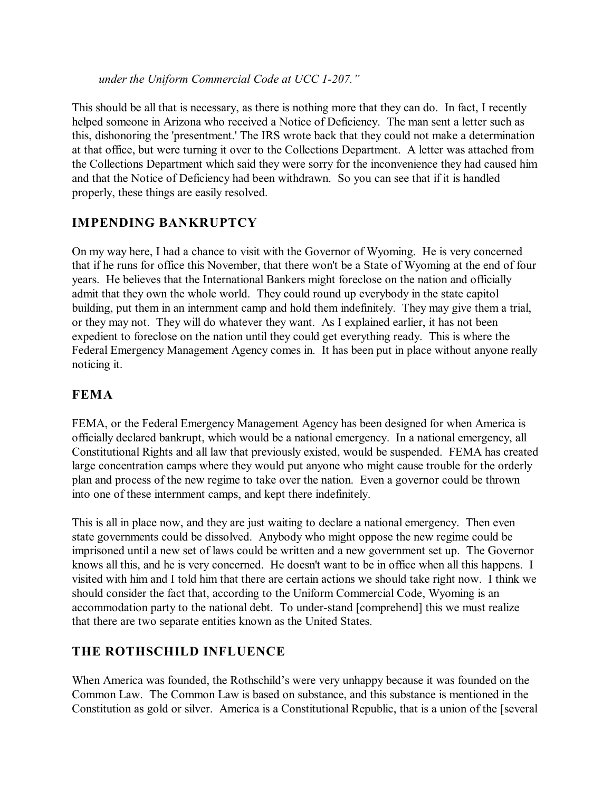*under the Uniform Commercial Code at UCC 1-207."*

This should be all that is necessary, as there is nothing more that they can do. In fact, I recently helped someone in Arizona who received a Notice of Deficiency. The man sent a letter such as this, dishonoring the 'presentment.' The IRS wrote back that they could not make a determination at that office, but were turning it over to the Collections Department. A letter was attached from the Collections Department which said they were sorry for the inconvenience they had caused him and that the Notice of Deficiency had been withdrawn. So you can see that if it is handled properly, these things are easily resolved.

# **IMPENDING BANKRUPTCY**

On my way here, I had a chance to visit with the Governor of Wyoming. He is very concerned that if he runs for office this November, that there won't be a State of Wyoming at the end of four years. He believes that the International Bankers might foreclose on the nation and officially admit that they own the whole world. They could round up everybody in the state capitol building, put them in an internment camp and hold them indefinitely. They may give them a trial, or they may not. They will do whatever they want. As I explained earlier, it has not been expedient to foreclose on the nation until they could get everything ready. This is where the Federal Emergency Management Agency comes in. It has been put in place without anyone really noticing it.

### **FEMA**

FEMA, or the Federal Emergency Management Agency has been designed for when America is officially declared bankrupt, which would be a national emergency. In a national emergency, all Constitutional Rights and all law that previously existed, would be suspended. FEMA has created large concentration camps where they would put anyone who might cause trouble for the orderly plan and process of the new regime to take over the nation. Even a governor could be thrown into one of these internment camps, and kept there indefinitely.

This is all in place now, and they are just waiting to declare a national emergency. Then even state governments could be dissolved. Anybody who might oppose the new regime could be imprisoned until a new set of laws could be written and a new government set up. The Governor knows all this, and he is very concerned. He doesn't want to be in office when all this happens. I visited with him and I told him that there are certain actions we should take right now. I think we should consider the fact that, according to the Uniform Commercial Code, Wyoming is an accommodation party to the national debt. To under-stand [comprehend] this we must realize that there are two separate entities known as the United States.

# **THE ROTHSCHILD INFLUENCE**

When America was founded, the Rothschild's were very unhappy because it was founded on the Common Law. The Common Law is based on substance, and this substance is mentioned in the Constitution as gold or silver. America is a Constitutional Republic, that is a union of the [several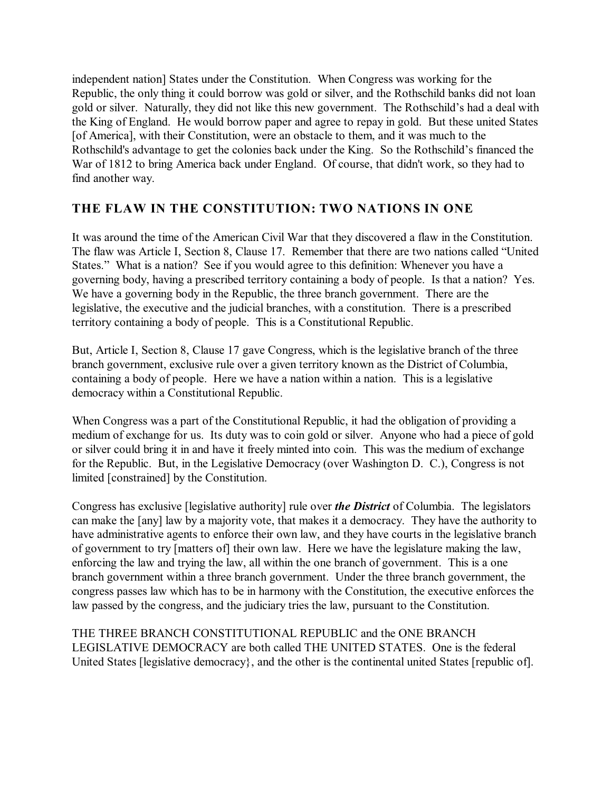independent nation] States under the Constitution. When Congress was working for the Republic, the only thing it could borrow was gold or silver, and the Rothschild banks did not loan gold or silver. Naturally, they did not like this new government. The Rothschild's had a deal with the King of England. He would borrow paper and agree to repay in gold. But these united States [of America], with their Constitution, were an obstacle to them, and it was much to the Rothschild's advantage to get the colonies back under the King. So the Rothschild's financed the War of 1812 to bring America back under England. Of course, that didn't work, so they had to find another way.

### **THE FLAW IN THE CONSTITUTION: TWO NATIONS IN ONE**

It was around the time of the American Civil War that they discovered a flaw in the Constitution. The flaw was Article I, Section 8, Clause 17. Remember that there are two nations called "United States." What is a nation? See if you would agree to this definition: Whenever you have a governing body, having a prescribed territory containing a body of people. Is that a nation? Yes. We have a governing body in the Republic, the three branch government. There are the legislative, the executive and the judicial branches, with a constitution. There is a prescribed territory containing a body of people. This is a Constitutional Republic.

But, Article I, Section 8, Clause 17 gave Congress, which is the legislative branch of the three branch government, exclusive rule over a given territory known as the District of Columbia, containing a body of people. Here we have a nation within a nation. This is a legislative democracy within a Constitutional Republic.

When Congress was a part of the Constitutional Republic, it had the obligation of providing a medium of exchange for us. Its duty was to coin gold or silver. Anyone who had a piece of gold or silver could bring it in and have it freely minted into coin. This was the medium of exchange for the Republic. But, in the Legislative Democracy (over Washington D. C.), Congress is not limited [constrained] by the Constitution.

Congress has exclusive [legislative authority] rule over *the District* of Columbia. The legislators can make the [any] law by a majority vote, that makes it a democracy. They have the authority to have administrative agents to enforce their own law, and they have courts in the legislative branch of government to try [matters of] their own law. Here we have the legislature making the law, enforcing the law and trying the law, all within the one branch of government. This is a one branch government within a three branch government. Under the three branch government, the congress passes law which has to be in harmony with the Constitution, the executive enforces the law passed by the congress, and the judiciary tries the law, pursuant to the Constitution.

THE THREE BRANCH CONSTITUTIONAL REPUBLIC and the ONE BRANCH LEGISLATIVE DEMOCRACY are both called THE UNITED STATES. One is the federal United States [legislative democracy}, and the other is the continental united States [republic of].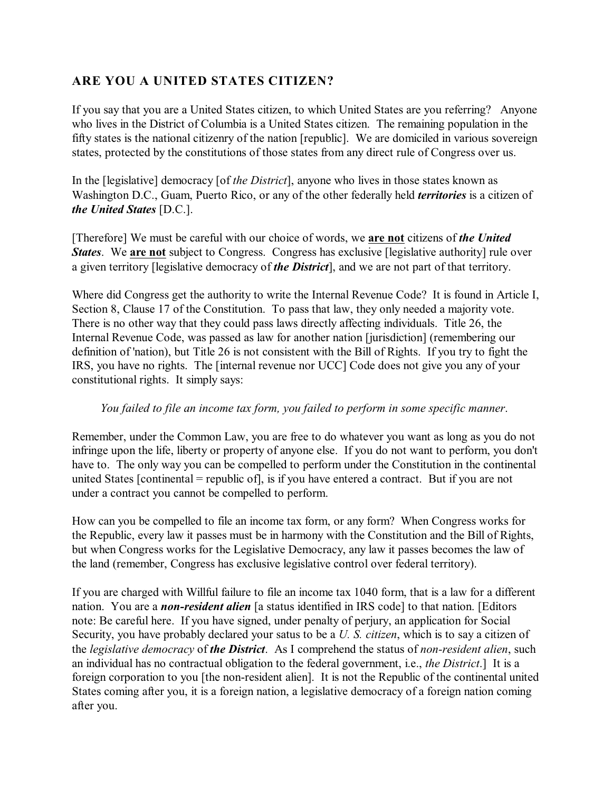# **ARE YOU A UNITED STATES CITIZEN?**

If you say that you are a United States citizen, to which United States are you referring? Anyone who lives in the District of Columbia is a United States citizen. The remaining population in the fifty states is the national citizenry of the nation [republic]. We are domiciled in various sovereign states, protected by the constitutions of those states from any direct rule of Congress over us.

In the [legislative] democracy [of *the District*], anyone who lives in those states known as Washington D.C., Guam, Puerto Rico, or any of the other federally held *territories* is a citizen of *the United States* [D.C.].

[Therefore] We must be careful with our choice of words, we **are not** citizens of *the United States*. We **are not** subject to Congress. Congress has exclusive [legislative authority] rule over a given territory [legislative democracy of *the District*], and we are not part of that territory.

Where did Congress get the authority to write the Internal Revenue Code? It is found in Article I, Section 8, Clause 17 of the Constitution. To pass that law, they only needed a majority vote. There is no other way that they could pass laws directly affecting individuals. Title 26, the Internal Revenue Code, was passed as law for another nation [jurisdiction] (remembering our definition of 'nation), but Title 26 is not consistent with the Bill of Rights. If you try to fight the IRS, you have no rights. The [internal revenue nor UCC] Code does not give you any of your constitutional rights. It simply says:

#### *You failed to file an income tax form, you failed to perform in some specific manner*.

Remember, under the Common Law, you are free to do whatever you want as long as you do not infringe upon the life, liberty or property of anyone else. If you do not want to perform, you don't have to. The only way you can be compelled to perform under the Constitution in the continental united States [continental = republic of], is if you have entered a contract. But if you are not under a contract you cannot be compelled to perform.

How can you be compelled to file an income tax form, or any form? When Congress works for the Republic, every law it passes must be in harmony with the Constitution and the Bill of Rights, but when Congress works for the Legislative Democracy, any law it passes becomes the law of the land (remember, Congress has exclusive legislative control over federal territory).

If you are charged with Willful failure to file an income tax 1040 form, that is a law for a different nation. You are a *non-resident alien* [a status identified in IRS code] to that nation. [Editors note: Be careful here. If you have signed, under penalty of perjury, an application for Social Security, you have probably declared your satus to be a *U. S. citizen*, which is to say a citizen of the *legislative democracy* of *the District*. As I comprehend the status of *non-resident alien*, such an individual has no contractual obligation to the federal government, i.e., *the District*.] It is a foreign corporation to you [the non-resident alien]. It is not the Republic of the continental united States coming after you, it is a foreign nation, a legislative democracy of a foreign nation coming after you.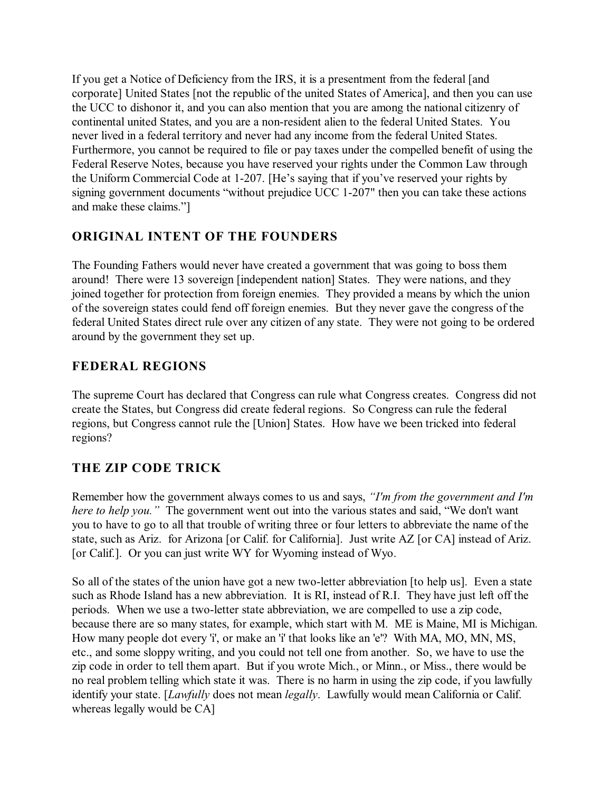If you get a Notice of Deficiency from the IRS, it is a presentment from the federal [and corporate] United States [not the republic of the united States of America], and then you can use the UCC to dishonor it, and you can also mention that you are among the national citizenry of continental united States, and you are a non-resident alien to the federal United States. You never lived in a federal territory and never had any income from the federal United States. Furthermore, you cannot be required to file or pay taxes under the compelled benefit of using the Federal Reserve Notes, because you have reserved your rights under the Common Law through the Uniform Commercial Code at 1-207. [He's saying that if you've reserved your rights by signing government documents "without prejudice UCC 1-207" then you can take these actions and make these claims."]

### **ORIGINAL INTENT OF THE FOUNDERS**

The Founding Fathers would never have created a government that was going to boss them around! There were 13 sovereign [independent nation] States. They were nations, and they joined together for protection from foreign enemies. They provided a means by which the union of the sovereign states could fend off foreign enemies. But they never gave the congress of the federal United States direct rule over any citizen of any state. They were not going to be ordered around by the government they set up.

#### **FEDERAL REGIONS**

The supreme Court has declared that Congress can rule what Congress creates. Congress did not create the States, but Congress did create federal regions. So Congress can rule the federal regions, but Congress cannot rule the [Union] States. How have we been tricked into federal regions?

# **THE ZIP CODE TRICK**

Remember how the government always comes to us and says, *"I'm from the government and I'm here to help you."* The government went out into the various states and said, "We don't want you to have to go to all that trouble of writing three or four letters to abbreviate the name of the state, such as Ariz. for Arizona [or Calif. for California]. Just write AZ [or CA] instead of Ariz. [or Calif.]. Or you can just write WY for Wyoming instead of Wyo.

So all of the states of the union have got a new two-letter abbreviation [to help us]. Even a state such as Rhode Island has a new abbreviation. It is RI, instead of R.I. They have just left off the periods. When we use a two-letter state abbreviation, we are compelled to use a zip code, because there are so many states, for example, which start with M. ME is Maine, MI is Michigan. How many people dot every 'i', or make an 'i' that looks like an 'e'? With MA, MO, MN, MS, etc., and some sloppy writing, and you could not tell one from another. So, we have to use the zip code in order to tell them apart. But if you wrote Mich., or Minn., or Miss., there would be no real problem telling which state it was. There is no harm in using the zip code, if you lawfully identify your state. [*Lawfully* does not mean *legally*. Lawfully would mean California or Calif. whereas legally would be CA]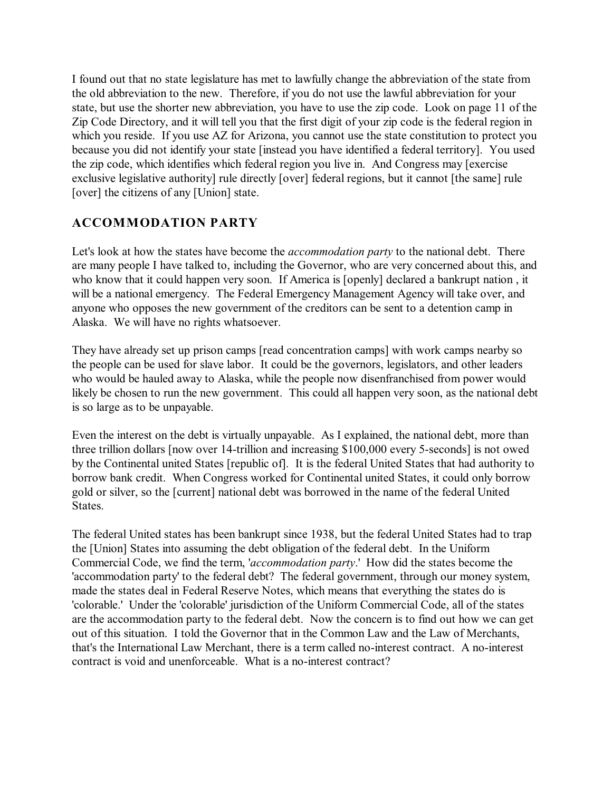I found out that no state legislature has met to lawfully change the abbreviation of the state from the old abbreviation to the new. Therefore, if you do not use the lawful abbreviation for your state, but use the shorter new abbreviation, you have to use the zip code. Look on page 11 of the Zip Code Directory, and it will tell you that the first digit of your zip code is the federal region in which you reside. If you use AZ for Arizona, you cannot use the state constitution to protect you because you did not identify your state [instead you have identified a federal territory]. You used the zip code, which identifies which federal region you live in. And Congress may [exercise exclusive legislative authority] rule directly [over] federal regions, but it cannot [the same] rule [over] the citizens of any [Union] state.

### **ACCOMMODATION PARTY**

Let's look at how the states have become the *accommodation party* to the national debt. There are many people I have talked to, including the Governor, who are very concerned about this, and who know that it could happen very soon. If America is [openly] declared a bankrupt nation , it will be a national emergency. The Federal Emergency Management Agency will take over, and anyone who opposes the new government of the creditors can be sent to a detention camp in Alaska. We will have no rights whatsoever.

They have already set up prison camps [read concentration camps] with work camps nearby so the people can be used for slave labor. It could be the governors, legislators, and other leaders who would be hauled away to Alaska, while the people now disenfranchised from power would likely be chosen to run the new government. This could all happen very soon, as the national debt is so large as to be unpayable.

Even the interest on the debt is virtually unpayable. As I explained, the national debt, more than three trillion dollars [now over 14-trillion and increasing \$100,000 every 5-seconds] is not owed by the Continental united States [republic of]. It is the federal United States that had authority to borrow bank credit. When Congress worked for Continental united States, it could only borrow gold or silver, so the [current] national debt was borrowed in the name of the federal United States.

The federal United states has been bankrupt since 1938, but the federal United States had to trap the [Union] States into assuming the debt obligation of the federal debt. In the Uniform Commercial Code, we find the term, '*accommodation party*.' How did the states become the 'accommodation party' to the federal debt? The federal government, through our money system, made the states deal in Federal Reserve Notes, which means that everything the states do is 'colorable.' Under the 'colorable' jurisdiction of the Uniform Commercial Code, all of the states are the accommodation party to the federal debt. Now the concern is to find out how we can get out of this situation. I told the Governor that in the Common Law and the Law of Merchants, that's the International Law Merchant, there is a term called no-interest contract. A no-interest contract is void and unenforceable. What is a no-interest contract?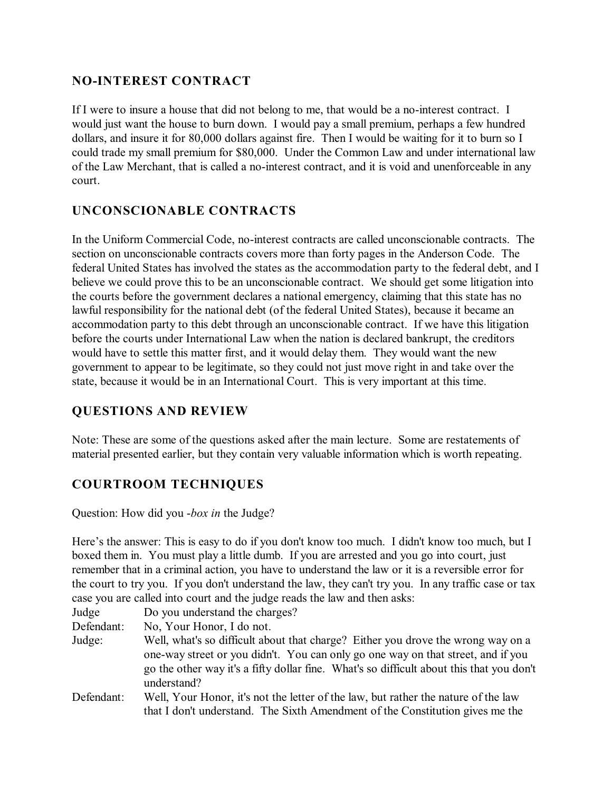# **NO-INTEREST CONTRACT**

If I were to insure a house that did not belong to me, that would be a no-interest contract. I would just want the house to burn down. I would pay a small premium, perhaps a few hundred dollars, and insure it for 80,000 dollars against fire. Then I would be waiting for it to burn so I could trade my small premium for \$80,000. Under the Common Law and under international law of the Law Merchant, that is called a no-interest contract, and it is void and unenforceable in any court.

### **UNCONSCIONABLE CONTRACTS**

In the Uniform Commercial Code, no-interest contracts are called unconscionable contracts. The section on unconscionable contracts covers more than forty pages in the Anderson Code. The federal United States has involved the states as the accommodation party to the federal debt, and I believe we could prove this to be an unconscionable contract. We should get some litigation into the courts before the government declares a national emergency, claiming that this state has no lawful responsibility for the national debt (of the federal United States), because it became an accommodation party to this debt through an unconscionable contract. If we have this litigation before the courts under International Law when the nation is declared bankrupt, the creditors would have to settle this matter first, and it would delay them. They would want the new government to appear to be legitimate, so they could not just move right in and take over the state, because it would be in an International Court. This is very important at this time.

#### **QUESTIONS AND REVIEW**

Note: These are some of the questions asked after the main lecture. Some are restatements of material presented earlier, but they contain very valuable information which is worth repeating.

# **COURTROOM TECHNIQUES**

Question: How did you -*box in* the Judge?

Here's the answer: This is easy to do if you don't know too much. I didn't know too much, but I boxed them in. You must play a little dumb. If you are arrested and you go into court, just remember that in a criminal action, you have to understand the law or it is a reversible error for the court to try you. If you don't understand the law, they can't try you. In any traffic case or tax case you are called into court and the judge reads the law and then asks:

| Judge      | Do you understand the charges?                                                                                                                                                                                                                                   |
|------------|------------------------------------------------------------------------------------------------------------------------------------------------------------------------------------------------------------------------------------------------------------------|
| Defendant: | No, Your Honor, I do not.                                                                                                                                                                                                                                        |
| Judge:     | Well, what's so difficult about that charge? Either you drove the wrong way on a<br>one-way street or you didn't. You can only go one way on that street, and if you<br>go the other way it's a fifty dollar fine. What's so difficult about this that you don't |
|            | understand?                                                                                                                                                                                                                                                      |
| Defendant: | Well, Your Honor, it's not the letter of the law, but rather the nature of the law                                                                                                                                                                               |

that I don't understand. The Sixth Amendment of the Constitution gives me the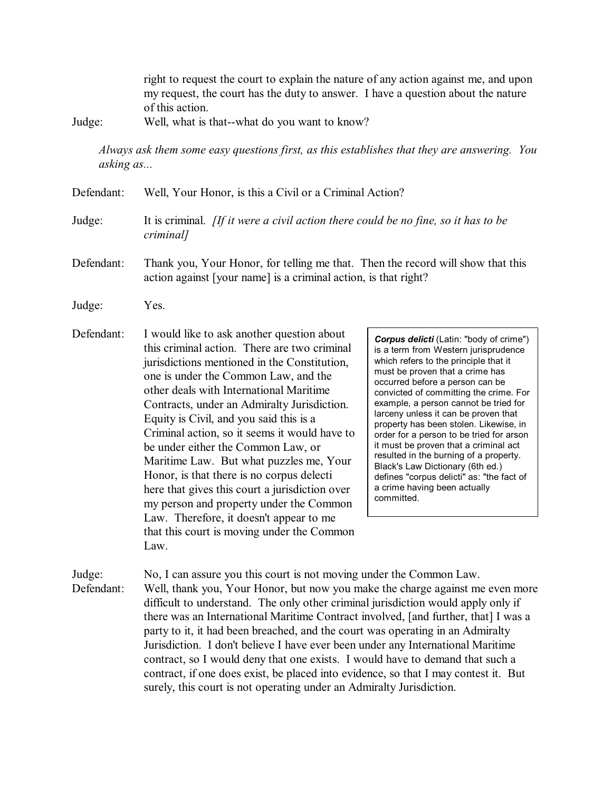right to request the court to explain the nature of any action against me, and upon my request, the court has the duty to answer. I have a question about the nature of this action.

Judge: Well, what is that--what do you want to know?

*Always ask them some easy questions first, as this establishes that they are answering. You asking as...*

- Defendant: Well, Your Honor, is this a Civil or a Criminal Action?
- Judge: It is criminal. *[If it were a civil action there could be no fine, so it has to be criminal]*
- Defendant: Thank you, Your Honor, for telling me that. Then the record will show that this action against [your name] is a criminal action, is that right?
- Judge: Yes.

Defendant: I would like to ask another question about this criminal action. There are two criminal jurisdictions mentioned in the Constitution, one is under the Common Law, and the other deals with International Maritime Contracts, under an Admiralty Jurisdiction. Equity is Civil, and you said this is a Criminal action, so it seems it would have to be under either the Common Law, or Maritime Law. But what puzzles me, Your Honor, is that there is no corpus delecti here that gives this court a jurisdiction over my person and property under the Common Law. Therefore, it doesn't appear to me that this court is moving under the Common Law.

*Corpus delicti* (Latin: "body of crime") is a term from Western jurisprudence which refers to the principle that it must be proven that a crime has occurred before a person can be convicted of committing the crime. For example, a person cannot be tried for larceny unless it can be proven that property has been stolen. Likewise, in order for a person to be tried for arson it must be proven that a criminal act resulted in the burning of a property. Black's Law Dictionary (6th ed.) defines "corpus delicti" as: "the fact of a crime having been actually committed.

Judge: No, I can assure you this court is not moving under the Common Law. Defendant: Well, thank you, Your Honor, but now you make the charge against me even more difficult to understand. The only other criminal jurisdiction would apply only if there was an International Maritime Contract involved, [and further, that] I was a party to it, it had been breached, and the court was operating in an Admiralty Jurisdiction. I don't believe I have ever been under any International Maritime contract, so I would deny that one exists. I would have to demand that such a contract, if one does exist, be placed into evidence, so that I may contest it. But surely, this court is not operating under an Admiralty Jurisdiction.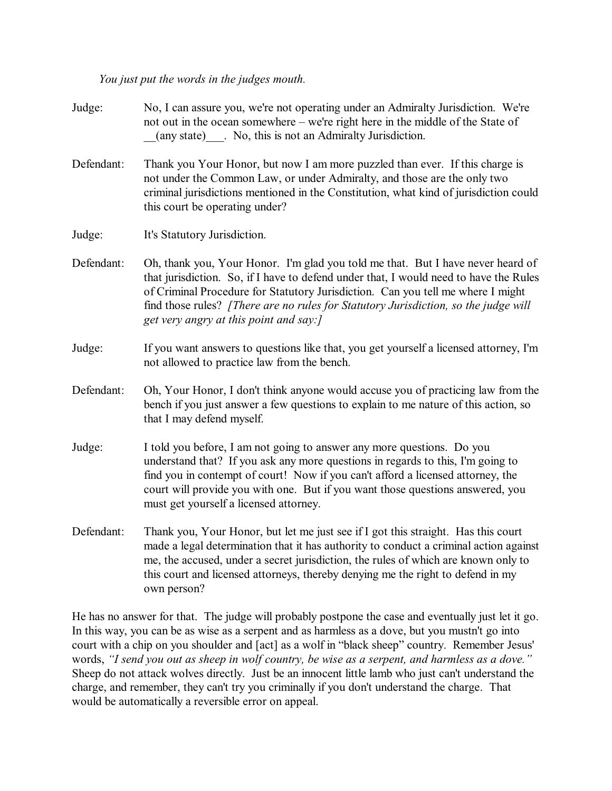*You just put the words in the judges mouth.*

- Judge: No, I can assure you, we're not operating under an Admiralty Jurisdiction. We're not out in the ocean somewhere – we're right here in the middle of the State of \_\_(any state)\_\_\_. No, this is not an Admiralty Jurisdiction.
- Defendant: Thank you Your Honor, but now I am more puzzled than ever. If this charge is not under the Common Law, or under Admiralty, and those are the only two criminal jurisdictions mentioned in the Constitution, what kind of jurisdiction could this court be operating under?

Judge: It's Statutory Jurisdiction.

- Defendant: Oh, thank you, Your Honor. I'm glad you told me that. But I have never heard of that jurisdiction. So, if I have to defend under that, I would need to have the Rules of Criminal Procedure for Statutory Jurisdiction. Can you tell me where I might find those rules? *[There are no rules for Statutory Jurisdiction, so the judge will get very angry at this point and say:]*
- Judge: If you want answers to questions like that, you get yourself a licensed attorney, I'm not allowed to practice law from the bench.
- Defendant: Oh, Your Honor, I don't think anyone would accuse you of practicing law from the bench if you just answer a few questions to explain to me nature of this action, so that I may defend myself.
- Judge: I told you before, I am not going to answer any more questions. Do you understand that? If you ask any more questions in regards to this, I'm going to find you in contempt of court! Now if you can't afford a licensed attorney, the court will provide you with one. But if you want those questions answered, you must get yourself a licensed attorney.
- Defendant: Thank you, Your Honor, but let me just see if I got this straight. Has this court made a legal determination that it has authority to conduct a criminal action against me, the accused, under a secret jurisdiction, the rules of which are known only to this court and licensed attorneys, thereby denying me the right to defend in my own person?

He has no answer for that. The judge will probably postpone the case and eventually just let it go. In this way, you can be as wise as a serpent and as harmless as a dove, but you mustn't go into court with a chip on you shoulder and [act] as a wolf in "black sheep" country. Remember Jesus' words, *"I send you out as sheep in wolf country, be wise as a serpent, and harmless as a dove."* Sheep do not attack wolves directly. Just be an innocent little lamb who just can't understand the charge, and remember, they can't try you criminally if you don't understand the charge. That would be automatically a reversible error on appeal.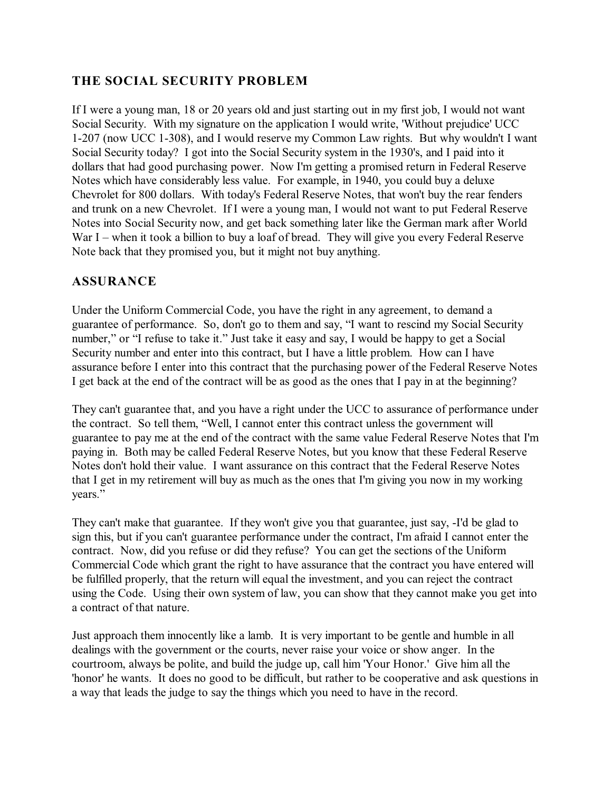# **THE SOCIAL SECURITY PROBLEM**

If I were a young man, 18 or 20 years old and just starting out in my first job, I would not want Social Security. With my signature on the application I would write, 'Without prejudice' UCC 1-207 (now UCC 1-308), and I would reserve my Common Law rights. But why wouldn't I want Social Security today? I got into the Social Security system in the 1930's, and I paid into it dollars that had good purchasing power. Now I'm getting a promised return in Federal Reserve Notes which have considerably less value. For example, in 1940, you could buy a deluxe Chevrolet for 800 dollars. With today's Federal Reserve Notes, that won't buy the rear fenders and trunk on a new Chevrolet. If I were a young man, I would not want to put Federal Reserve Notes into Social Security now, and get back something later like the German mark after World War I – when it took a billion to buy a loaf of bread. They will give you every Federal Reserve Note back that they promised you, but it might not buy anything.

#### **ASSURANCE**

Under the Uniform Commercial Code, you have the right in any agreement, to demand a guarantee of performance. So, don't go to them and say, "I want to rescind my Social Security number," or "I refuse to take it." Just take it easy and say, I would be happy to get a Social Security number and enter into this contract, but I have a little problem. How can I have assurance before I enter into this contract that the purchasing power of the Federal Reserve Notes I get back at the end of the contract will be as good as the ones that I pay in at the beginning?

They can't guarantee that, and you have a right under the UCC to assurance of performance under the contract. So tell them, "Well, I cannot enter this contract unless the government will guarantee to pay me at the end of the contract with the same value Federal Reserve Notes that I'm paying in. Both may be called Federal Reserve Notes, but you know that these Federal Reserve Notes don't hold their value. I want assurance on this contract that the Federal Reserve Notes that I get in my retirement will buy as much as the ones that I'm giving you now in my working years."

They can't make that guarantee. If they won't give you that guarantee, just say, -I'd be glad to sign this, but if you can't guarantee performance under the contract, I'm afraid I cannot enter the contract. Now, did you refuse or did they refuse? You can get the sections of the Uniform Commercial Code which grant the right to have assurance that the contract you have entered will be fulfilled properly, that the return will equal the investment, and you can reject the contract using the Code. Using their own system of law, you can show that they cannot make you get into a contract of that nature.

Just approach them innocently like a lamb. It is very important to be gentle and humble in all dealings with the government or the courts, never raise your voice or show anger. In the courtroom, always be polite, and build the judge up, call him 'Your Honor.' Give him all the 'honor' he wants. It does no good to be difficult, but rather to be cooperative and ask questions in a way that leads the judge to say the things which you need to have in the record.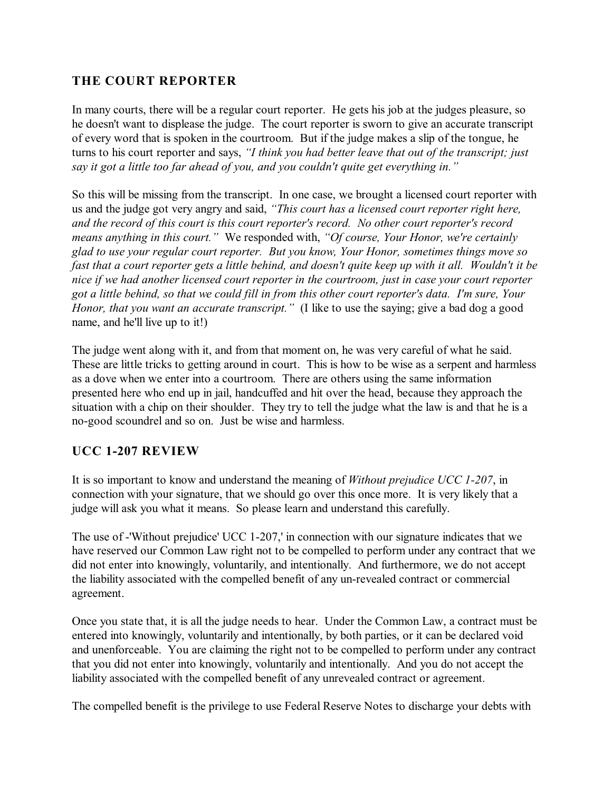## **THE COURT REPORTER**

In many courts, there will be a regular court reporter. He gets his job at the judges pleasure, so he doesn't want to displease the judge. The court reporter is sworn to give an accurate transcript of every word that is spoken in the courtroom. But if the judge makes a slip of the tongue, he turns to his court reporter and says, *"I think you had better leave that out of the transcript; just say it got a little too far ahead of you, and you couldn't quite get everything in."*

So this will be missing from the transcript. In one case, we brought a licensed court reporter with us and the judge got very angry and said, *"This court has a licensed court reporter right here, and the record of this court is this court reporter's record. No other court reporter's record means anything in this court."* We responded with, *"Of course, Your Honor, we're certainly glad to use your regular court reporter. But you know, Your Honor, sometimes things move so fast that a court reporter gets a little behind, and doesn't quite keep up with it all. Wouldn't it be nice if we had another licensed court reporter in the courtroom, just in case your court reporter got a little behind, so that we could fill in from this other court reporter's data. I'm sure, Your Honor, that you want an accurate transcript."* (I like to use the saying; give a bad dog a good name, and he'll live up to it!)

The judge went along with it, and from that moment on, he was very careful of what he said. These are little tricks to getting around in court. This is how to be wise as a serpent and harmless as a dove when we enter into a courtroom. There are others using the same information presented here who end up in jail, handcuffed and hit over the head, because they approach the situation with a chip on their shoulder. They try to tell the judge what the law is and that he is a no-good scoundrel and so on. Just be wise and harmless.

#### **UCC 1-207 REVIEW**

It is so important to know and understand the meaning of *Without prejudice UCC 1-207*, in connection with your signature, that we should go over this once more. It is very likely that a judge will ask you what it means. So please learn and understand this carefully.

The use of -'Without prejudice' UCC 1-207,' in connection with our signature indicates that we have reserved our Common Law right not to be compelled to perform under any contract that we did not enter into knowingly, voluntarily, and intentionally. And furthermore, we do not accept the liability associated with the compelled benefit of any un-revealed contract or commercial agreement.

Once you state that, it is all the judge needs to hear. Under the Common Law, a contract must be entered into knowingly, voluntarily and intentionally, by both parties, or it can be declared void and unenforceable. You are claiming the right not to be compelled to perform under any contract that you did not enter into knowingly, voluntarily and intentionally. And you do not accept the liability associated with the compelled benefit of any unrevealed contract or agreement.

The compelled benefit is the privilege to use Federal Reserve Notes to discharge your debts with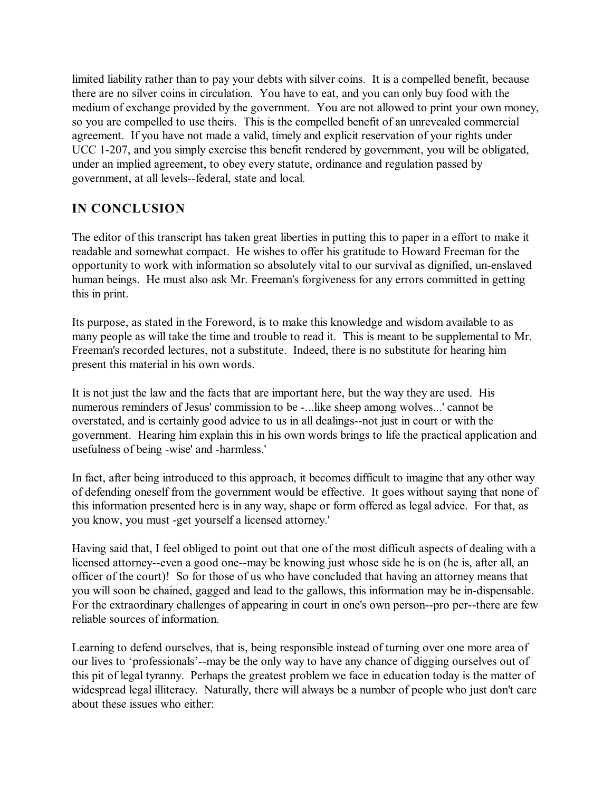limited liability rather than to pay your debts with silver coins. It is a compelled benefit, because there are no silver coins in circulation. You have to eat, and you can only buy food with the medium of exchange provided by the government. You are not allowed to print your own money, so you are compelled to use theirs. This is the compelled benefit of an unrevealed commercial agreement. If you have not made a valid, timely and explicit reservation of your rights under UCC 1-207, and you simply exercise this benefit rendered by government, you will be obligated, under an implied agreement, to obey every statute, ordinance and regulation passed by government, at all levels--federal, state and local.

### **IN CONCLUSION**

The editor of this transcript has taken great liberties in putting this to paper in a effort to make it readable and somewhat compact. He wishes to offer his gratitude to Howard Freeman for the opportunity to work with information so absolutely vital to our survival as dignified, un-enslaved human beings. He must also ask Mr. Freeman's forgiveness for any errors committed in getting this in print.

Its purpose, as stated in the Foreword, is to make this knowledge and wisdom available to as many people as will take the time and trouble to read it. This is meant to be supplemental to Mr. Freeman's recorded lectures, not a substitute. Indeed, there is no substitute for hearing him present this material in his own words.

It is not just the law and the facts that are important here, but the way they are used. His numerous reminders of Jesus' commission to be -...like sheep among wolves...' cannot be overstated, and is certainly good advice to us in all dealings--not just in court or with the government. Hearing him explain this in his own words brings to life the practical application and usefulness of being -wise' and -harmless.'

In fact, after being introduced to this approach, it becomes difficult to imagine that any other way of defending oneself from the government would be effective. It goes without saying that none of this information presented here is in any way, shape or form offered as legal advice. For that, as you know, you must -get yourself a licensed attorney.'

Having said that, I feel obliged to point out that one of the most difficult aspects of dealing with a licensed attorney--even a good one--may be knowing just whose side he is on (he is, after all, an officer of the court)! So for those of us who have concluded that having an attorney means that you will soon be chained, gagged and lead to the gallows, this information may be in-dispensable. For the extraordinary challenges of appearing in court in one's own person--pro per--there are few reliable sources of information.

Learning to defend ourselves, that is, being responsible instead of turning over one more area of our lives to 'professionals'--may be the only way to have any chance of digging ourselves out of this pit of legal tyranny. Perhaps the greatest problem we face in education today is the matter of widespread legal illiteracy. Naturally, there will always be a number of people who just don't care about these issues who either: